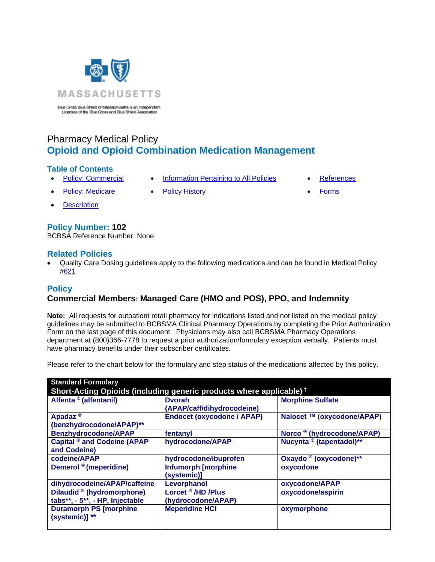

Blue Cross Blue Shield of Massachusetts is an Independent Licensee of the Blue Cross and Blue Shield Association

# Pharmacy Medical Policy **Opioid and Opioid Combination Medication Management**

## **Table of Contents**

- 
- **[Policy: Commercial](#page-0-0) [Information Pertaining to All Policies](#page-3-0) [References](#page-4-0)**
- 

- 
- [Description](#page-1-0)

# **Policy Number: 102**

BCBSA Reference Number: None

# **Related Policies**

• Quality Care Dosing guidelines apply to the following medications and can be found in Medical Policy [#621](http://www.bluecrossma.org/medical-policies/sites/g/files/csphws2091/files/acquiadam-assets/621%20Quality%20Care%20Dosing%20-%20QCD%20-%20Guidelines%20prn.pdf)

# <span id="page-0-0"></span>**Policy**

# **Commercial Members: Managed Care (HMO and POS), PPO, and Indemnity**

**Note:** All requests for outpatient retail pharmacy for indications listed and not listed on the medical policy guidelines may be submitted to BCBSMA Clinical Pharmacy Operations by completing the Prior Authorization Form on the last page of this document. Physicians may also call BCBSMA Pharmacy Operations department at (800)366-7778 to request a prior authorization/formulary exception verbally. Patients must have pharmacy benefits under their subscriber certificates.

Please refer to the chart below for the formulary and step status of the medications affected by this policy.

| <b>Standard Formulary</b>                                                       |                                                     |                                       |  |  |
|---------------------------------------------------------------------------------|-----------------------------------------------------|---------------------------------------|--|--|
| Short-Acting Opioids (including generic products where applicable) <sup>†</sup> |                                                     |                                       |  |  |
| Alfenta <sup>®</sup> (alfentanil)                                               | <b>Dvorah</b><br>(APAP/caff/dihydrocodeine)         | <b>Morphine Sulfate</b>               |  |  |
| Apadaz <sup>®</sup><br>(benzhydrocodone/APAP)**                                 | <b>Endocet (oxycodone / APAP)</b>                   | Nalocet ™ (oxycodone/APAP)            |  |  |
| <b>Benzhydrocodone/APAP</b>                                                     | fentanyl                                            | Norco <sup>®</sup> (hydrocodone/APAP) |  |  |
| <b>Capital ® and Codeine (APAP</b><br>and Codeine)                              | hydrocodone/APAP                                    | Nucynta <sup>®</sup> (tapentadol)**   |  |  |
| codeine/APAP                                                                    | hydrocodone/ibuprofen                               | Oxaydo ® (oxycodone)**                |  |  |
| Demerol <sup>®</sup> (meperidine)                                               | <b>Infumorph [morphine</b><br>(systemic)]           | oxycodone                             |  |  |
| dihydrocodeine/APAP/caffeine                                                    | Levorphanol                                         | oxycodone/APAP                        |  |  |
| Dilaudid ® (hydromorphone)<br>tabs**, - 5**, - HP, Injectable                   | Lorcet <sup>®</sup> /HD /Plus<br>(hydrocodone/APAP) | oxycodone/aspirin                     |  |  |
| <b>Duramorph PS [morphine</b><br>(systemic)] **                                 | <b>Meperidine HCI</b>                               | oxymorphone                           |  |  |

- **[Policy: Medicare](#page-0-0) [Policy History](#page-4-1) Policy + Policy History [Forms](http://www.bluecrossma.org/medical-policies/sites/g/files/csphws2091/files/acquiadam-assets/023%20E%20Form%20medication%20prior%20auth%20instruction%20prn.pdf)** 
	-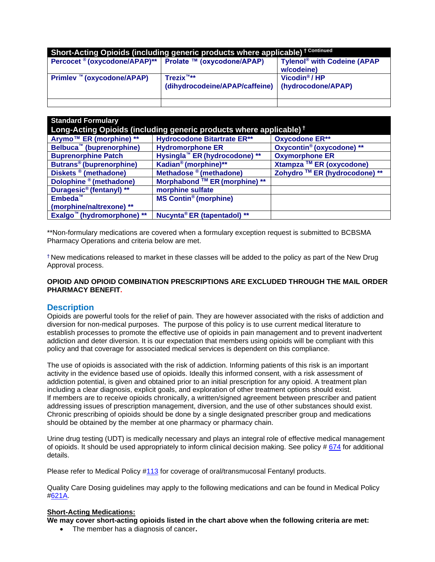| Short-Acting Opioids (including generic products where applicable) <sup>+ Continued</sup> |                                                                          |                                                       |  |
|-------------------------------------------------------------------------------------------|--------------------------------------------------------------------------|-------------------------------------------------------|--|
| Percocet <sup>®</sup> (oxycodone/APAP) <sup>**</sup> Prolate ™ (oxycodone/APAP)           |                                                                          | Tylenol <sup>®</sup> with Codeine (APAP<br>w/codeine) |  |
| Primlev <sup>™</sup> (oxycodone/APAP)                                                     | $T$ rezix <sup><math>m***</math></sup><br>(dihydrocodeine/APAP/caffeine) | Vicodin <sup>®</sup> /HP<br>(hydrocodone/APAP)        |  |
|                                                                                           |                                                                          |                                                       |  |

| <b>Standard Formulary</b>                                                      |                                           |                               |  |  |
|--------------------------------------------------------------------------------|-------------------------------------------|-------------------------------|--|--|
| Long-Acting Opioids (including generic products where applicable) <sup>†</sup> |                                           |                               |  |  |
| Arymo™ ER (morphine) **                                                        | <b>Hydrocodone Bitartrate ER**</b>        | <b>Oxycodone ER**</b>         |  |  |
| <b>Belbuca<sup>™</sup></b> (buprenorphine)                                     | <b>Hydromorphone ER</b>                   | Oxycontin® (oxycodone) **     |  |  |
| <b>Buprenorphine Patch</b>                                                     | Hysingla <sup>™</sup> ER (hydrocodone) ** | <b>Oxymorphone ER</b>         |  |  |
| Butrans <sup>®</sup> (buprenorphine)                                           | Kadian <sup>®</sup> (morphine)**          | Xtampza ™ ER (oxycodone)      |  |  |
| Diskets <sup>®</sup> (methadone)                                               | Methadose ® (methadone)                   | Zohydro ™ ER (hydrocodone) ** |  |  |
| Dolophine ® (methadone)                                                        | Morphabond ™ ER (morphine) **             |                               |  |  |
| Duragesic <sup>®</sup> (fentanyl) **                                           | morphine sulfate                          |                               |  |  |
| Embeda <sup>™</sup>                                                            | <b>MS Contin<sup>®</sup></b> (morphine)   |                               |  |  |
| (morphine/naltrexone) **                                                       |                                           |                               |  |  |
| Exalgo <sup>™</sup> (hydromorphone) **                                         | Nucynta® ER (tapentadol) **               |                               |  |  |

\*\*Non-formulary medications are covered when a formulary exception request is submitted to BCBSMA Pharmacy Operations and criteria below are met.

† New medications released to market in these classes will be added to the policy as part of the New Drug Approval process.

### **OPIOID AND OPIOID COMBINATION PRESCRIPTIONS ARE EXCLUDED THROUGH THE MAIL ORDER PHARMACY BENEFIT.**

## <span id="page-1-0"></span>**Description**

Opioids are powerful tools for the relief of pain. They are however associated with the risks of addiction and diversion for non-medical purposes. The purpose of this policy is to use current medical literature to establish processes to promote the effective use of opioids in pain management and to prevent inadvertent addiction and deter diversion. It is our expectation that members using opioids will be compliant with this policy and that coverage for associated medical services is dependent on this compliance.

The use of opioids is associated with the risk of addiction. Informing patients of this risk is an important activity in the evidence based use of opioids. Ideally this informed consent, with a risk assessment of addiction potential, is given and obtained prior to an initial prescription for any opioid. A treatment plan including a clear diagnosis, explicit goals, and exploration of other treatment options should exist. If members are to receive opioids chronically, a written/signed agreement between prescriber and patient addressing issues of prescription management, diversion, and the use of other substances should exist. Chronic prescribing of opioids should be done by a single designated prescriber group and medications should be obtained by the member at one pharmacy or pharmacy chain.

Urine drug testing (UDT) is medically necessary and plays an integral role of effective medical management of opioids. It should be used appropriately to inform clinical decision making. See policy # [674](https://www.bluecrossma.org/medical-policies/sites/g/files/csphws2091/files/acquiadam-assets/674%20Drug%20Testing%20in%20Pain%20Management%20and%20Substance%20Use%20Disorder%20Treatment%20prn.pdf) for additional details.

Please refer to Medical Policy [#113](http://www.bluecrossma.org/medical-policies/sites/g/files/csphws2091/files/acquiadam-assets/113%20Fentanyl,%20oral-transmucosal%20prn.pdf) for coverage of oral/transmucosal Fentanyl products.

Quality Care Dosing guidelines may apply to the following medications and can be found in Medical Policy [#621A.](http://www.bluecrossma.org/medical-policies/sites/g/files/csphws2091/files/acquiadam-assets/621A%20Quality%20Care%20Dosing%20Guidelines%20prn.pdf)

#### **Short-Acting Medications:**

**We may cover short-acting opioids listed in the chart above when the following criteria are met:**

• The member has a diagnosis of cancer**.**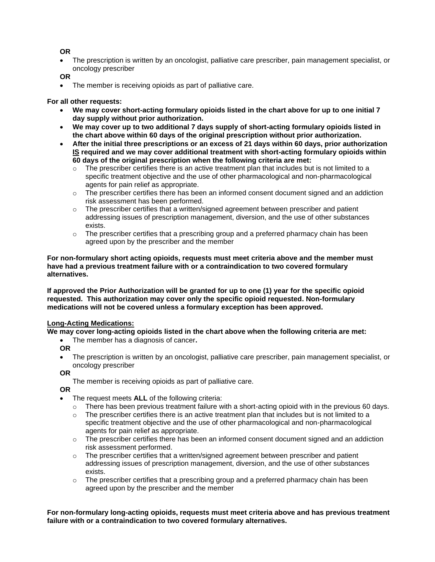### **OR**

• The prescription is written by an oncologist, palliative care prescriber, pain management specialist, or oncology prescriber

**OR**

• The member is receiving opioids as part of palliative care.

#### **For all other requests:**

- **We may cover short-acting formulary opioids listed in the chart above for up to one initial 7 day supply without prior authorization.**
- **We may cover up to two additional 7 days supply of short-acting formulary opioids listed in the chart above within 60 days of the original prescription without prior authorization.**
- **After the initial three prescriptions or an excess of 21 days within 60 days, prior authorization IS required and we may cover additional treatment with short-acting formulary opioids within 60 days of the original prescription when the following criteria are met:**
	- $\circ$  The prescriber certifies there is an active treatment plan that includes but is not limited to a specific treatment objective and the use of other pharmacological and non-pharmacological agents for pain relief as appropriate.
	- $\circ$  The prescriber certifies there has been an informed consent document signed and an addiction risk assessment has been performed.
	- $\circ$  The prescriber certifies that a written/signed agreement between prescriber and patient addressing issues of prescription management, diversion, and the use of other substances exists.
	- $\circ$  The prescriber certifies that a prescribing group and a preferred pharmacy chain has been agreed upon by the prescriber and the member

**For non-formulary short acting opioids, requests must meet criteria above and the member must have had a previous treatment failure with or a contraindication to two covered formulary alternatives.** 

**If approved the Prior Authorization will be granted for up to one (1) year for the specific opioid requested. This authorization may cover only the specific opioid requested. Non-formulary medications will not be covered unless a formulary exception has been approved.**

#### **Long-Acting Medications:**

#### **We may cover long-acting opioids listed in the chart above when the following criteria are met:**

- The member has a diagnosis of cancer**.**
- **OR**
- The prescription is written by an oncologist, palliative care prescriber, pain management specialist, or oncology prescriber

**OR**

The member is receiving opioids as part of palliative care.

**OR**

- The request meets **ALL** of the following criteria:
	- $\circ$  There has been previous treatment failure with a short-acting opioid with in the previous 60 days.
	- $\circ$  The prescriber certifies there is an active treatment plan that includes but is not limited to a specific treatment objective and the use of other pharmacological and non-pharmacological agents for pain relief as appropriate.
	- $\circ$  The prescriber certifies there has been an informed consent document signed and an addiction risk assessment performed.
	- $\circ$  The prescriber certifies that a written/signed agreement between prescriber and patient addressing issues of prescription management, diversion, and the use of other substances exists.
	- $\circ$  The prescriber certifies that a prescribing group and a preferred pharmacy chain has been agreed upon by the prescriber and the member

**For non-formulary long-acting opioids, requests must meet criteria above and has previous treatment failure with or a contraindication to two covered formulary alternatives.**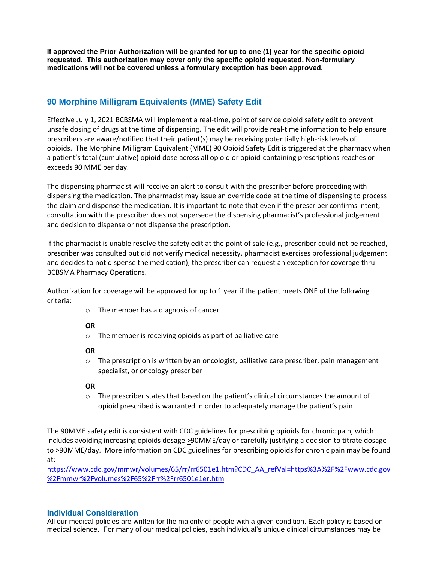**If approved the Prior Authorization will be granted for up to one (1) year for the specific opioid requested. This authorization may cover only the specific opioid requested. Non-formulary medications will not be covered unless a formulary exception has been approved.**

# **90 Morphine Milligram Equivalents (MME) Safety Edit**

Effective July 1, 2021 BCBSMA will implement a real-time, point of service opioid safety edit to prevent unsafe dosing of drugs at the time of dispensing. The edit will provide real-time information to help ensure prescribers are aware/notified that their patient(s) may be receiving potentially high-risk levels of opioids. The Morphine Milligram Equivalent (MME) 90 Opioid Safety Edit is triggered at the pharmacy when a patient's total (cumulative) opioid dose across all opioid or opioid-containing prescriptions reaches or exceeds 90 MME per day.

The dispensing pharmacist will receive an alert to consult with the prescriber before proceeding with dispensing the medication. The pharmacist may issue an override code at the time of dispensing to process the claim and dispense the medication. It is important to note that even if the prescriber confirms intent, consultation with the prescriber does not supersede the dispensing pharmacist's professional judgement and decision to dispense or not dispense the prescription.

If the pharmacist is unable resolve the safety edit at the point of sale (e.g., prescriber could not be reached, prescriber was consulted but did not verify medical necessity, pharmacist exercises professional judgement and decides to not dispense the medication), the prescriber can request an exception for coverage thru BCBSMA Pharmacy Operations.

Authorization for coverage will be approved for up to 1 year if the patient meets ONE of the following criteria:

o The member has a diagnosis of cancer

## **OR**

o The member is receiving opioids as part of palliative care

## **OR**

 $\circ$  The prescription is written by an oncologist, palliative care prescriber, pain management specialist, or oncology prescriber

## **OR**

 $\circ$  The prescriber states that based on the patient's clinical circumstances the amount of opioid prescribed is warranted in order to adequately manage the patient's pain

The 90MME safety edit is consistent with CDC guidelines for prescribing opioids for chronic pain, which includes avoiding increasing opioids dosage >90MME/day or carefully justifying a decision to titrate dosage to >90MME/day. More information on CDC guidelines for prescribing opioids for chronic pain may be found at:

[https://www.cdc.gov/mmwr/volumes/65/rr/rr6501e1.htm?CDC\\_AA\\_refVal=https%3A%2F%2Fwww.cdc.gov](https://www.cdc.gov/mmwr/volumes/65/rr/rr6501e1.htm?CDC_AA_refVal=https%3A%2F%2Fwww.cdc.gov%2Fmmwr%2Fvolumes%2F65%2Frr%2Frr6501e1er.htm) [%2Fmmwr%2Fvolumes%2F65%2Frr%2Frr6501e1er.htm](https://www.cdc.gov/mmwr/volumes/65/rr/rr6501e1.htm?CDC_AA_refVal=https%3A%2F%2Fwww.cdc.gov%2Fmmwr%2Fvolumes%2F65%2Frr%2Frr6501e1er.htm)

## <span id="page-3-0"></span>**Individual Consideration**

All our medical policies are written for the majority of people with a given condition. Each policy is based on medical science. For many of our medical policies, each individual's unique clinical circumstances may be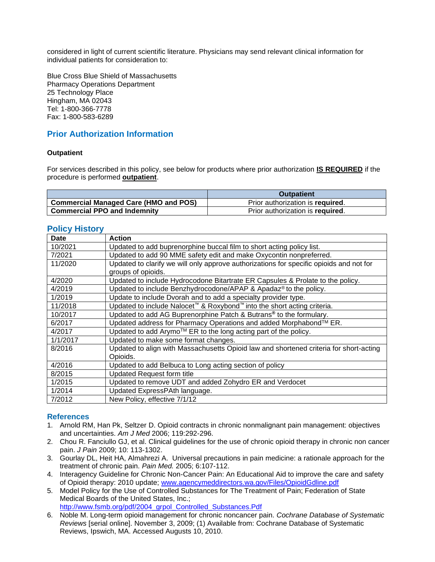considered in light of current scientific literature. Physicians may send relevant clinical information for individual patients for consideration to:

Blue Cross Blue Shield of Massachusetts Pharmacy Operations Department 25 Technology Place Hingham, MA 02043 Tel: 1-800-366-7778 Fax: 1-800-583-6289

# <span id="page-4-1"></span>**Prior Authorization Information**

### **Outpatient**

For services described in this policy, see below for products where prior authorization **IS REQUIRED** if the procedure is performed **outpatient**.

|                                              | <b>Outpatient</b>                |
|----------------------------------------------|----------------------------------|
| <b>Commercial Managed Care (HMO and POS)</b> | Prior authorization is required. |
| <b>Commercial PPO and Indemnity</b>          | Prior authorization is required. |

### **Policy History**

| <b>Date</b> | <b>Action</b>                                                                                   |
|-------------|-------------------------------------------------------------------------------------------------|
| 10/2021     | Updated to add buprenorphine buccal film to short acting policy list.                           |
| 7/2021      | Updated to add 90 MME safety edit and make Oxycontin nonpreferred.                              |
| 11/2020     | Updated to clarify we will only approve authorizations for specific opioids and not for         |
|             | groups of opioids.                                                                              |
| 4/2020      | Updated to include Hydrocodone Bitartrate ER Capsules & Prolate to the policy.                  |
| 4/2019      | Updated to include Benzhydrocodone/APAP & Apadaz® to the policy.                                |
| 1/2019      | Update to include Dvorah and to add a specialty provider type.                                  |
| 11/2018     | Updated to include Nalocet <sup>™</sup> & Roxybond <sup>™</sup> into the short acting criteria. |
| 10/2017     | Updated to add AG Buprenorphine Patch & Butrans <sup>®</sup> to the formulary.                  |
| 6/2017      | Updated address for Pharmacy Operations and added Morphabond™ ER.                               |
| 4/2017      | Updated to add Arymo™ ER to the long acting part of the policy.                                 |
| 1/1/2017    | Updated to make some format changes.                                                            |
| 8/2016      | Updated to align with Massachusetts Opioid law and shortened criteria for short-acting          |
|             | Opioids.                                                                                        |
| 4/2016      | Updated to add Belbuca to Long acting section of policy                                         |
| 8/2015      | <b>Updated Request form title</b>                                                               |
| 1/2015      | Updated to remove UDT and added Zohydro ER and Verdocet                                         |
| 1/2014      | Updated ExpressPAth language.                                                                   |
| 7/2012      | New Policy, effective 7/1/12                                                                    |

## <span id="page-4-0"></span>**References**

- 1. Arnold RM, Han Pk, Seltzer D. Opioid contracts in chronic nonmalignant pain management: objectives and uncertainties. *Am J Med* 2006; 119:292-296.
- 2. Chou R. Fanciullo GJ, et al. Clinical guidelines for the use of chronic opioid therapy in chronic non cancer pain. *J Pain* 2009; 10: 113-1302.
- 3. Gourlay DL, Heit HA, Almahrezi A. Universal precautions in pain medicine: a rationale approach for the treatment of chronic pain. *Pain Med.* 2005; 6:107-112.
- 4. Interagency Guideline for Chronic Non-Cancer Pain: An Educational Aid to improve the care and safety of Opioid therapy: 2010 update; [www.agencymeddirectors.wa.gov/Files/OpioidGdline.pdf](http://www.agencymeddirectors.wa.gov/Files/OpioidGdline.pdf)
- 5. Model Policy for the Use of Controlled Substances for The Treatment of Pain; Federation of State Medical Boards of the United States, Inc.; [http://www.fsmb.org/pdf/2004\\_grpol\\_Controlled\\_Substances.Pdf](http://www.fsmb.org/pdf/2004_grpol_Controlled_Substances.Pdf)
- 6. Noble M. Long-term opioid management for chronic noncancer pain. *Cochrane Database of Systematic Reviews* [serial online]. November 3, 2009; (1) Available from: Cochrane Database of Systematic Reviews, Ipswich, MA. Accessed Augusts 10, 2010.